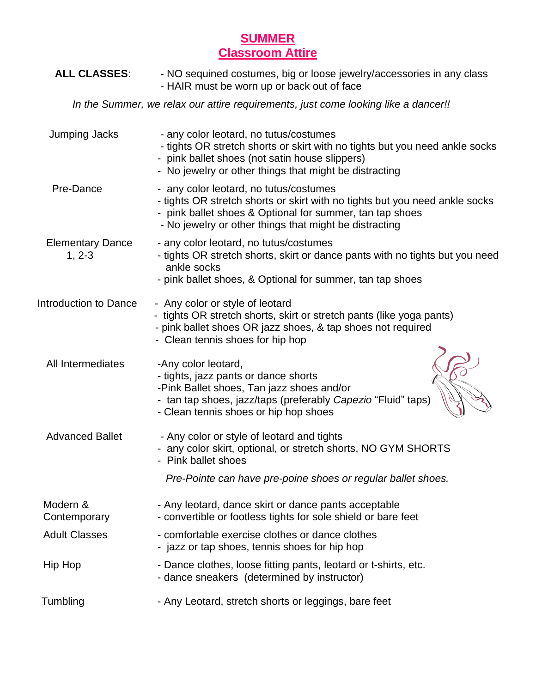## **SUMMER Classroom Attire**

| <b>ALL CLASSES:</b>                                                                | - NO sequined costumes, big or loose jewelry/accessories in any class<br>- HAIR must be worn up or back out of face                                                                                                                         |
|------------------------------------------------------------------------------------|---------------------------------------------------------------------------------------------------------------------------------------------------------------------------------------------------------------------------------------------|
| In the Summer, we relax our attire requirements, just come looking like a dancer!! |                                                                                                                                                                                                                                             |
| <b>Jumping Jacks</b>                                                               | - any color leotard, no tutus/costumes<br>- tights OR stretch shorts or skirt with no tights but you need ankle socks<br>- pink ballet shoes (not satin house slippers)<br>- No jewelry or other things that might be distracting           |
| Pre-Dance                                                                          | - any color leotard, no tutus/costumes<br>- tights OR stretch shorts or skirt with no tights but you need ankle socks<br>- pink ballet shoes & Optional for summer, tan tap shoes<br>- No jewelry or other things that might be distracting |
| <b>Elementary Dance</b><br>$1, 2-3$                                                | - any color leotard, no tutus/costumes<br>- tights OR stretch shorts, skirt or dance pants with no tights but you need<br>ankle socks<br>- pink ballet shoes, & Optional for summer, tan tap shoes                                          |
| Introduction to Dance                                                              | - Any color or style of leotard<br>- tights OR stretch shorts, skirt or stretch pants (like yoga pants)<br>- pink ballet shoes OR jazz shoes, & tap shoes not required<br>- Clean tennis shoes for hip hop                                  |
| All Intermediates                                                                  | -Any color leotard,<br>- tights, jazz pants or dance shorts<br>-Pink Ballet shoes, Tan jazz shoes and/or<br>- tan tap shoes, jazz/taps (preferably Capezio "Fluid" taps)<br>- Clean tennis shoes or hip hop shoes                           |
| <b>Advanced Ballet</b>                                                             | - Any color or style of leotard and tights<br>- any color skirt, optional, or stretch shorts, NO GYM SHORTS<br>Pink ballet shoes                                                                                                            |
|                                                                                    | Pre-Pointe can have pre-poine shoes or regular ballet shoes.                                                                                                                                                                                |
| Modern &<br>Contemporary                                                           | - Any leotard, dance skirt or dance pants acceptable<br>- convertible or footless tights for sole shield or bare feet                                                                                                                       |
| <b>Adult Classes</b>                                                               | - comfortable exercise clothes or dance clothes<br>- jazz or tap shoes, tennis shoes for hip hop                                                                                                                                            |
| Hip Hop                                                                            | - Dance clothes, loose fitting pants, leotard or t-shirts, etc.<br>- dance sneakers (determined by instructor)                                                                                                                              |
| Tumbling                                                                           | - Any Leotard, stretch shorts or leggings, bare feet                                                                                                                                                                                        |